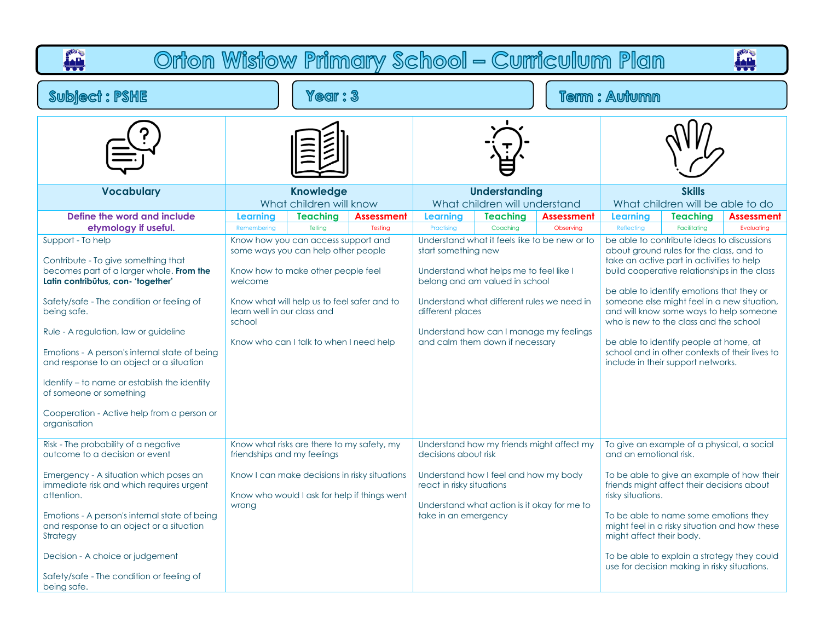| Orton Wistow Primary School - Curriculum Plan<br>÷                                                                                                                                                                                                                                                                                                                                                                                                                                    |                                                  |                                                                                                                                                                                                            |                                                                                               |                                                                           |                                                                                                                                                                                                       |                                               |                                                                                                                                                                                                                                                                                                                                                                                                                                                                                                                                                    |                 | بللمأ             |  |  |  |  |
|---------------------------------------------------------------------------------------------------------------------------------------------------------------------------------------------------------------------------------------------------------------------------------------------------------------------------------------------------------------------------------------------------------------------------------------------------------------------------------------|--------------------------------------------------|------------------------------------------------------------------------------------------------------------------------------------------------------------------------------------------------------------|-----------------------------------------------------------------------------------------------|---------------------------------------------------------------------------|-------------------------------------------------------------------------------------------------------------------------------------------------------------------------------------------------------|-----------------------------------------------|----------------------------------------------------------------------------------------------------------------------------------------------------------------------------------------------------------------------------------------------------------------------------------------------------------------------------------------------------------------------------------------------------------------------------------------------------------------------------------------------------------------------------------------------------|-----------------|-------------------|--|--|--|--|
| <b>Subject: PSHE</b>                                                                                                                                                                                                                                                                                                                                                                                                                                                                  | $\texttt{Year}:3$                                |                                                                                                                                                                                                            |                                                                                               |                                                                           |                                                                                                                                                                                                       | <b>Term: Autumn</b>                           |                                                                                                                                                                                                                                                                                                                                                                                                                                                                                                                                                    |                 |                   |  |  |  |  |
|                                                                                                                                                                                                                                                                                                                                                                                                                                                                                       |                                                  |                                                                                                                                                                                                            |                                                                                               |                                                                           |                                                                                                                                                                                                       |                                               |                                                                                                                                                                                                                                                                                                                                                                                                                                                                                                                                                    |                 |                   |  |  |  |  |
| <b>Vocabulary</b>                                                                                                                                                                                                                                                                                                                                                                                                                                                                     |                                                  | <b>Knowledge</b><br>What children will know                                                                                                                                                                |                                                                                               |                                                                           | <b>Understanding</b><br>What children will understand                                                                                                                                                 |                                               | <b>Skills</b><br>What children will be able to do                                                                                                                                                                                                                                                                                                                                                                                                                                                                                                  |                 |                   |  |  |  |  |
| Define the word and include<br>etymology if useful.                                                                                                                                                                                                                                                                                                                                                                                                                                   | Learning<br>Remembering                          | <b>Teaching</b><br>Telling                                                                                                                                                                                 | <b>Assessment</b><br>Testing                                                                  | Learning<br>Practising                                                    | <b>Teaching</b><br>Coaching                                                                                                                                                                           | <b>Assessment</b><br>Observing                | Learning                                                                                                                                                                                                                                                                                                                                                                                                                                                                                                                                           | <b>Teaching</b> | <b>Assessment</b> |  |  |  |  |
| Support - To help<br>Contribute - To give something that<br>becomes part of a larger whole. From the<br>Latin contribūtus, con- 'together'<br>Safety/safe - The condition or feeling of<br>being safe.<br>Rule - A regulation, law or guideline<br>Emotions - A person's internal state of being<br>and response to an object or a situation<br>Identify – to name or establish the identity<br>of someone or something<br>Cooperation - Active help from a person or<br>organisation | welcome<br>learn well in our class and<br>school | Know how you can access support and<br>some ways you can help other people<br>Know how to make other people feel<br>Know what will help us to feel safer and to<br>Know who can I talk to when I need help |                                                                                               | start something new<br>different places                                   | Understand what helps me to feel like I<br>belong and am valued in school<br>Understand what different rules we need in<br>Understand how can I manage my feelings<br>and calm them down if necessary | Understand what it feels like to be new or to | Reflecting<br>Facilitating<br>Evaluating<br>be able to contribute ideas to discussions<br>about ground rules for the class, and to<br>take an active part in activities to help<br>build cooperative relationships in the class<br>be able to identify emotions that they or<br>someone else might feel in a new situation,<br>and will know some ways to help someone<br>who is new to the class and the school<br>be able to identify people at home, at<br>school and in other contexts of their lives to<br>include in their support networks. |                 |                   |  |  |  |  |
| Risk - The probability of a negative<br>outcome to a decision or event<br>Emergency - A situation which poses an<br>immediate risk and which requires urgent<br>attention.<br>Emotions - A person's internal state of being<br>and response to an object or a situation<br>Strategy<br>Decision - A choice or judgement<br>Safety/safe - The condition or feeling of<br>being safe.                                                                                                   | friendships and my feelings<br>wrong             | Know what risks are there to my safety, my                                                                                                                                                                 | Know I can make decisions in risky situations<br>Know who would I ask for help if things went | decisions about risk<br>react in risky situations<br>take in an emergency | Understand how I feel and how my body<br>Understand what action is it okay for me to                                                                                                                  | Understand how my friends might affect my     | To give an example of a physical, a social<br>and an emotional risk.<br>To be able to give an example of how their<br>friends might affect their decisions about<br>risky situations.<br>To be able to name some emotions they<br>might feel in a risky situation and how these<br>might affect their body.<br>To be able to explain a strategy they could<br>use for decision making in risky situations.                                                                                                                                         |                 |                   |  |  |  |  |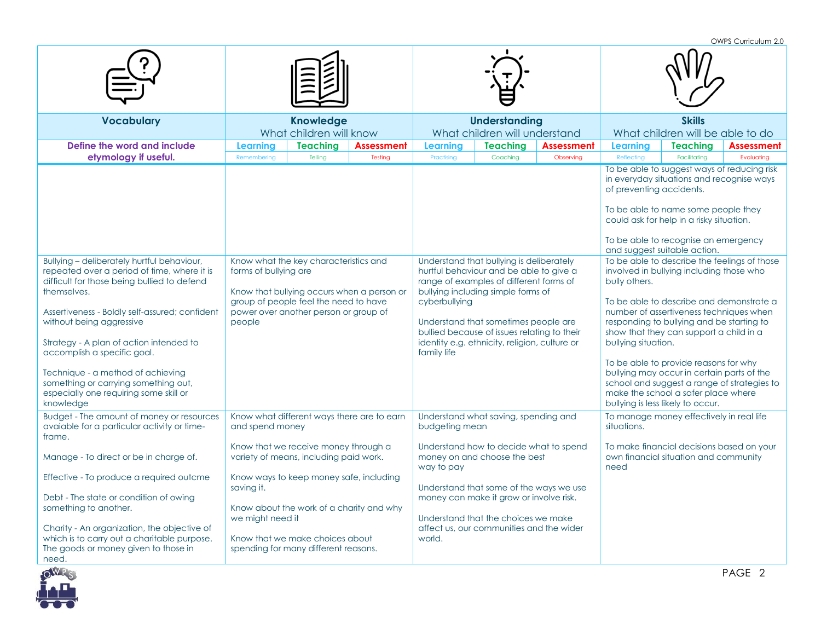OWPS Curriculum 2.0

| <b>Vocabulary</b>                                                                                                                                                                                                                                                                                                                                                                                                                                                           | <b>Knowledge</b><br>What children will know                                                                                                                                                                                        |                   | <b>Understanding</b><br>What children will understand |                                                                                                                                                                                                                                                                                                                          |                   | <b>Skills</b><br>What children will be able to do                                                                                                                                                                                                                                                                                                                                                                                                                                                                                                                                                                                                                                                                                                                                                                           |                                       |                   |  |
|-----------------------------------------------------------------------------------------------------------------------------------------------------------------------------------------------------------------------------------------------------------------------------------------------------------------------------------------------------------------------------------------------------------------------------------------------------------------------------|------------------------------------------------------------------------------------------------------------------------------------------------------------------------------------------------------------------------------------|-------------------|-------------------------------------------------------|--------------------------------------------------------------------------------------------------------------------------------------------------------------------------------------------------------------------------------------------------------------------------------------------------------------------------|-------------------|-----------------------------------------------------------------------------------------------------------------------------------------------------------------------------------------------------------------------------------------------------------------------------------------------------------------------------------------------------------------------------------------------------------------------------------------------------------------------------------------------------------------------------------------------------------------------------------------------------------------------------------------------------------------------------------------------------------------------------------------------------------------------------------------------------------------------------|---------------------------------------|-------------------|--|
| Define the word and include                                                                                                                                                                                                                                                                                                                                                                                                                                                 | <b>Teaching</b><br><b>Learning</b>                                                                                                                                                                                                 | <b>Assessment</b> | <b>Learning</b>                                       | <b>Teaching</b>                                                                                                                                                                                                                                                                                                          | <b>Assessment</b> | Learning                                                                                                                                                                                                                                                                                                                                                                                                                                                                                                                                                                                                                                                                                                                                                                                                                    | <b>Teaching</b>                       | <b>Assessment</b> |  |
| etymology if useful.<br>Bullying - deliberately hurtful behaviour,<br>repeated over a period of time, where it is<br>difficult for those being bullied to defend<br>themselves.<br>Assertiveness - Boldly self-assured; confident<br>without being aggressive<br>Strategy - A plan of action intended to<br>accomplish a specific goal.<br>Technique - a method of achieving<br>something or carrying something out,<br>especially one requiring some skill or<br>knowledge | Telling<br>Remembering<br>Know what the key characteristics and<br>forms of bullying are<br>Know that bullying occurs when a person or<br>group of people feel the need to have<br>power over another person or group of<br>people | Testina           | Practising<br>cyberbullying<br>family life            | Coaching<br>Understand that bullying is deliberately<br>hurtful behaviour and be able to give a<br>range of examples of different forms of<br>bullying including simple forms of<br>Understand that sometimes people are<br>bullied because of issues relating to their<br>identity e.g. ethnicity, religion, culture or | Observing         | Reflecting<br>Facilitating<br>Evaluating<br>To be able to suggest ways of reducing risk<br>in everyday situations and recognise ways<br>of preventing accidents.<br>To be able to name some people they<br>could ask for help in a risky situation.<br>To be able to recognise an emergency<br>and suggest suitable action.<br>To be able to describe the feelings of those<br>involved in bullying including those who<br>bully others.<br>To be able to describe and demonstrate a<br>number of assertiveness techniques when<br>responding to bullying and be starting to<br>show that they can support a child in a<br>bullying situation.<br>To be able to provide reasons for why<br>bullying may occur in certain parts of the<br>school and suggest a range of strategies to<br>make the school a safer place where |                                       |                   |  |
| Budget - The amount of money or resources<br>avaiable for a particular activity or time-<br>frame.                                                                                                                                                                                                                                                                                                                                                                          | Know what different ways there are to earn<br>and spend money<br>Know that we receive money through a                                                                                                                              |                   | budgeting mean                                        | Understand what saving, spending and<br>Understand how to decide what to spend                                                                                                                                                                                                                                           |                   | To manage money effectively in real life<br>situations.<br>To make financial decisions based on your                                                                                                                                                                                                                                                                                                                                                                                                                                                                                                                                                                                                                                                                                                                        |                                       |                   |  |
| Manage - To direct or be in charge of.                                                                                                                                                                                                                                                                                                                                                                                                                                      | variety of means, including paid work.                                                                                                                                                                                             |                   | way to pay                                            | money on and choose the best                                                                                                                                                                                                                                                                                             |                   | need                                                                                                                                                                                                                                                                                                                                                                                                                                                                                                                                                                                                                                                                                                                                                                                                                        | own financial situation and community |                   |  |
| Effective - To produce a required outcme<br>Debt - The state or condition of owing<br>something to another.<br>Charity - An organization, the objective of<br>which is to carry out a charitable purpose.<br>The goods or money given to those in<br>need.                                                                                                                                                                                                                  | Know ways to keep money safe, including<br>saving it.<br>Know about the work of a charity and why<br>we might need it<br>Know that we make choices about<br>spending for many different reasons.                                   |                   | world.                                                | Understand that some of the ways we use<br>money can make it grow or involve risk.<br>Understand that the choices we make<br>affect us, our communities and the wider                                                                                                                                                    |                   |                                                                                                                                                                                                                                                                                                                                                                                                                                                                                                                                                                                                                                                                                                                                                                                                                             |                                       |                   |  |

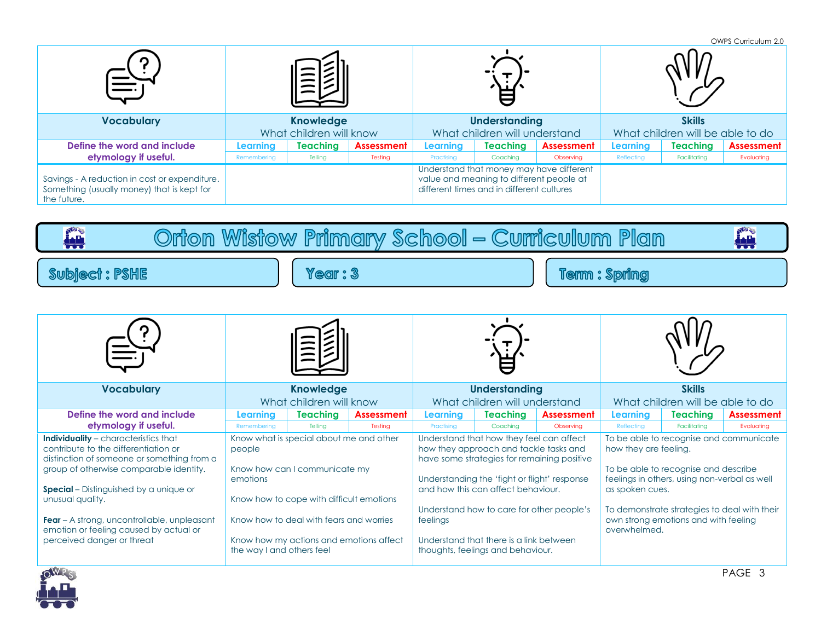|                                                                                                            |                         |                 |            |                               |                                                                                       |                                          |                                  |                 | OWPS Curriculum 2.0 |
|------------------------------------------------------------------------------------------------------------|-------------------------|-----------------|------------|-------------------------------|---------------------------------------------------------------------------------------|------------------------------------------|----------------------------------|-----------------|---------------------|
|                                                                                                            |                         |                 |            |                               |                                                                                       |                                          |                                  |                 |                     |
| <b>Vocabulary</b>                                                                                          | <b>Knowledge</b>        |                 |            | <b>Understanding</b>          |                                                                                       |                                          | <b>Skills</b>                    |                 |                     |
|                                                                                                            | What children will know |                 |            | What children will understand |                                                                                       |                                          | What children will be able to do |                 |                     |
| Define the word and include                                                                                | Learnina                | <b>Teaching</b> | Assessment | Learnina                      | <b>Teaching</b>                                                                       | Assessment                               | Learning                         | <b>Teaching</b> | <b>Assessment</b>   |
| etymology if useful.                                                                                       | Remembering             | Telling         | Testing    | Practising                    | Coaching                                                                              | Observing                                | Reflecting                       | Facilitating    | Evaluating          |
| Savings - A reduction in cost or expenditure.<br>Something (usually money) that is kept for<br>the future. |                         |                 |            |                               | value and meaning to different people at<br>different times and in different cultures | Understand that money may have different |                                  |                 |                     |

Orton Wistow Primary School - Curriculum Plan

Year: 3

| <b>Vocabulary</b>                                                                                                                                                                                                                                                                                                                                                               | <b>Knowledge</b><br>What children will know     |                                                                                                                                                                                                            |                   | <b>Understanding</b><br>What children will understand |                                                                                                                                                                                                                                                          |                                                                                          | <b>Skills</b><br>What children will be able to do                                                                                                                                                                                                                                   |                 |                   |
|---------------------------------------------------------------------------------------------------------------------------------------------------------------------------------------------------------------------------------------------------------------------------------------------------------------------------------------------------------------------------------|-------------------------------------------------|------------------------------------------------------------------------------------------------------------------------------------------------------------------------------------------------------------|-------------------|-------------------------------------------------------|----------------------------------------------------------------------------------------------------------------------------------------------------------------------------------------------------------------------------------------------------------|------------------------------------------------------------------------------------------|-------------------------------------------------------------------------------------------------------------------------------------------------------------------------------------------------------------------------------------------------------------------------------------|-----------------|-------------------|
| Define the word and include                                                                                                                                                                                                                                                                                                                                                     | <b>Learning</b>                                 | <b>Teaching</b>                                                                                                                                                                                            | <b>Assessment</b> | <b>Learning</b>                                       | <b>Teaching</b>                                                                                                                                                                                                                                          | <b>Assessment</b>                                                                        | <b>Learning</b>                                                                                                                                                                                                                                                                     | <b>Teaching</b> | <b>Assessment</b> |
| etymology if useful.                                                                                                                                                                                                                                                                                                                                                            | Remembering                                     | Tellina                                                                                                                                                                                                    | Testing           | Practising                                            | Coaching                                                                                                                                                                                                                                                 | Observing                                                                                | Reflecting                                                                                                                                                                                                                                                                          | Facilitating    | Evaluating        |
| <b>Individuality</b> - characteristics that<br>contribute to the differentiation or<br>distinction of someone or something from a<br>group of otherwise comparable identity.<br><b>Special</b> – Distinguished by a unique or<br>unusual quality.<br><b>Fear</b> – A strong, uncontrollable, unpleasant<br>emotion or feeling caused by actual or<br>perceived danger or threat | people<br>emotions<br>the way I and others feel | Know what is special about me and other<br>Know how can I communicate my<br>Know how to cope with difficult emotions<br>Know how to deal with fears and worries<br>Know how my actions and emotions affect |                   | feelings                                              | Understand that how they feel can affect<br>how they approach and tackle tasks and<br>Understanding the 'fight or flight' response<br>and how this can affect behaviour.<br>Understand that there is a link between<br>thoughts, feelings and behaviour. | have some strategies for remaining positive<br>Understand how to care for other people's | To be able to recognise and communicate<br>how they are feeling.<br>To be able to recognise and describe<br>feelings in others, using non-verbal as well<br>as spoken cues.<br>To demonstrate strategies to deal with their<br>own strong emotions and with feeling<br>overwhelmed. |                 |                   |



**ALL** 

Subject: PSHE

**IH** 

Term : Spring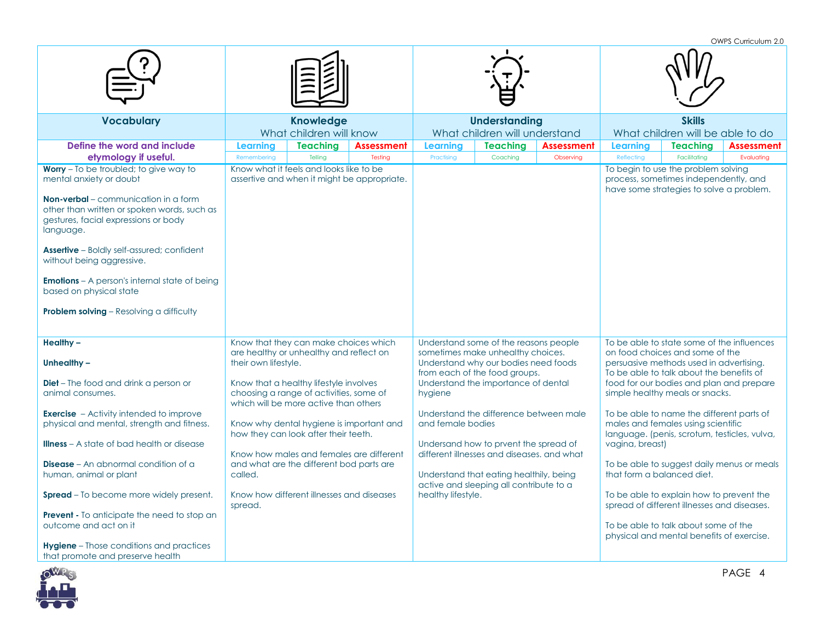OWPS Curriculum 2.0 **Vocabulary Knowledge** What children will know **Understanding** What children will understand **Skills** What children will be able to do **Define the word and include etymology if useful. Learning Teaching Assessment Learning Teaching Assessment Learning Teaching Assessment** Remembering | Telling | Testing | Practising | Coaching | Observing | Reflecting | Facilitating | Evaluating **Worry** – To be troubled; to give way to mental anxiety or doubt **Non-verbal** – communication in a form other than written or spoken words, such as gestures, facial expressions or body language. **Assertive** – Boldly self-assured; confident without being aggressive. **Emotions** – A person's internal state of being based on physical state **Problem solving – Resolving a difficulty** Know what it feels and looks like to be assertive and when it might be appropriate. To begin to use the problem solving process, sometimes independently, and have some strategies to solve a problem. **Healthy – Unhealthy – Diet** – The food and drink a person or animal consumes. **Exercise** – Activity intended to improve physical and mental, strength and fitness. **Illness** – A state of bad health or disease **Disease** – An abnormal condition of a human, animal or plant **Spread** – To become more widely present. **Prevent -** To anticipate the need to stop an outcome and act on it **Hygiene** – Those conditions and practices that promote and preserve health Know that they can make choices which are healthy or unhealthy and reflect on their own lifestyle. Know that a healthy lifestyle involves choosing a range of activities, some of which will be more active than others Know why dental hygiene is important and how they can look after their teeth. Know how males and females are different and what are the different bod parts are called. Know how different illnesses and diseases spread. Understand some of the reasons people sometimes make unhealthy choices. Understand why our bodies need foods from each of the food groups. Understand the importance of dental hygiene Understand the difference between male and female bodies Undersand how to prvent the spread of different illnesses and diseases. and what Understand that eating healthily, being active and sleeping all contribute to a healthy lifestyle. To be able to state some of the influences on food choices and some of the persuasive methods used in advertising. To be able to talk about the benefits of food for our bodies and plan and prepare simple healthy meals or snacks. To be able to name the different parts of males and females using scientific language. (penis, scrotum, testicles, vulva, vagina, breast) To be able to suggest daily menus or meals that form a balanced diet. To be able to explain how to prevent the spread of different illnesses and diseases. To be able to talk about some of the physical and mental benefits of exercise.

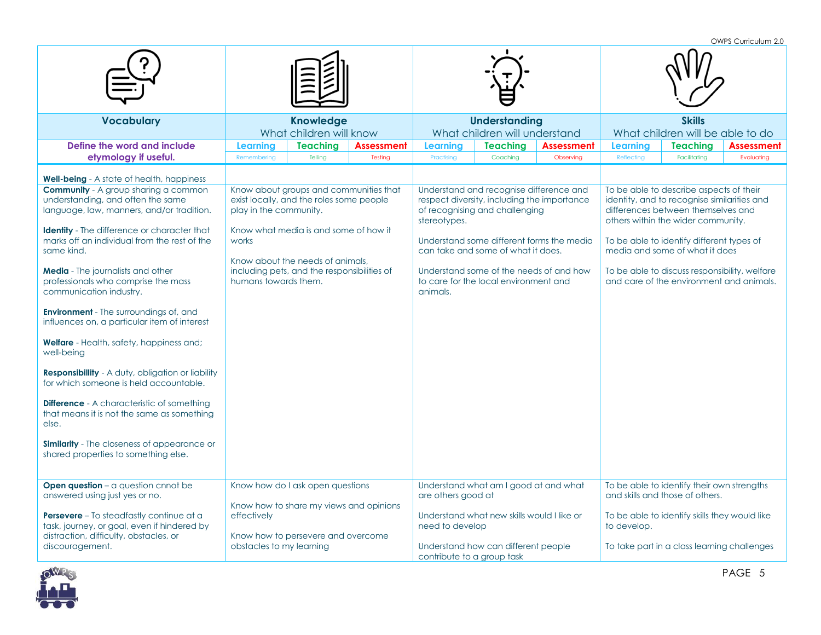|                                                                                                                                                                                                                                                                                                                                                                                                                                                                                                                                                                                                                                                                                                                                                                                                                                                                                        |                                                         |                                                                                                                                                                                                                |                              |                                                                                                              |                                                                                                                                                                   |                                           |                                                   |                                                                                                                                                                                                                                                                                                    | OWPS Curriculum 2.0                      |  |
|----------------------------------------------------------------------------------------------------------------------------------------------------------------------------------------------------------------------------------------------------------------------------------------------------------------------------------------------------------------------------------------------------------------------------------------------------------------------------------------------------------------------------------------------------------------------------------------------------------------------------------------------------------------------------------------------------------------------------------------------------------------------------------------------------------------------------------------------------------------------------------------|---------------------------------------------------------|----------------------------------------------------------------------------------------------------------------------------------------------------------------------------------------------------------------|------------------------------|--------------------------------------------------------------------------------------------------------------|-------------------------------------------------------------------------------------------------------------------------------------------------------------------|-------------------------------------------|---------------------------------------------------|----------------------------------------------------------------------------------------------------------------------------------------------------------------------------------------------------------------------------------------------------------------------------------------------------|------------------------------------------|--|
|                                                                                                                                                                                                                                                                                                                                                                                                                                                                                                                                                                                                                                                                                                                                                                                                                                                                                        |                                                         |                                                                                                                                                                                                                |                              |                                                                                                              |                                                                                                                                                                   |                                           |                                                   |                                                                                                                                                                                                                                                                                                    |                                          |  |
| <b>Vocabulary</b>                                                                                                                                                                                                                                                                                                                                                                                                                                                                                                                                                                                                                                                                                                                                                                                                                                                                      |                                                         | <b>Knowledge</b><br>What children will know                                                                                                                                                                    |                              |                                                                                                              | <b>Understanding</b><br>What children will understand                                                                                                             |                                           | <b>Skills</b><br>What children will be able to do |                                                                                                                                                                                                                                                                                                    |                                          |  |
| Define the word and include<br>etymology if useful.                                                                                                                                                                                                                                                                                                                                                                                                                                                                                                                                                                                                                                                                                                                                                                                                                                    | Learning<br>Remembering                                 | <b>Teaching</b><br>Telling                                                                                                                                                                                     | <b>Assessment</b><br>Testing | <b>Learning</b><br>Practising                                                                                | <b>Teaching</b><br>Coaching                                                                                                                                       | <b>Assessment</b><br>Observing            | Learning<br>Reflecting                            | <b>Teaching</b><br>Facilitating                                                                                                                                                                                                                                                                    | <b>Assessment</b><br>Evaluating          |  |
| <b>Well-being</b> - A state of health, happiness<br><b>Community</b> - A group sharing a common<br>understanding, and often the same<br>language, law, manners, and/or tradition.<br><b>Identity</b> - The difference or character that<br>marks off an individual from the rest of the<br>same kind.<br>Media - The journalists and other<br>professionals who comprise the mass<br>communication industry.<br><b>Environment</b> - The surroundings of, and<br>influences on, a particular item of interest<br><b>Welfare</b> - Health, safety, happiness and;<br>well-being<br><b>Responsibility</b> - A duty, obligation or liability<br>for which someone is held accountable.<br><b>Difference</b> - A characteristic of something<br>that means it is not the same as something<br>else.<br>Similarity - The closeness of appearance or<br>shared properties to something else. | play in the community.<br>works<br>humans towards them. | Know about groups and communities that<br>exist locally, and the roles some people<br>Know what media is and some of how it<br>Know about the needs of animals.<br>including pets, and the responsibilities of |                              | respect diversity, including the importance<br>of recognising and challenging<br>stereotypes.<br>animals.    | Understand and recognise difference and<br>can take and some of what it does.<br>Understand some of the needs of and how<br>to care for the local environment and | Understand some different forms the media |                                                   | To be able to describe aspects of their<br>identity, and to recognise similarities and<br>differences between themselves and<br>others within the wider community.<br>To be able to identify different types of<br>media and some of what it does<br>To be able to discuss responsibility, welfare | and care of the environment and animals. |  |
| <b>Open question</b> – $\alpha$ question cnnot be<br>answered using just yes or no.<br><b>Persevere</b> – To steadfastly continue at a<br>task, journey, or goal, even if hindered by<br>distraction, difficulty, obstacles, or<br>discouragement.                                                                                                                                                                                                                                                                                                                                                                                                                                                                                                                                                                                                                                     | effectively<br>obstacles to my learning                 | Know how do I ask open questions<br>Know how to share my views and opinions<br>Know how to persevere and overcome                                                                                              |                              | Understand what am I good at and what<br>are others good at<br>need to develop<br>contribute to a group task | Understand what new skills would I like or<br>Understand how can different people                                                                                 |                                           | to develop.                                       | To be able to identify their own strengths<br>and skills and those of others.<br>To be able to identify skills they would like<br>To take part in a class learning challenges                                                                                                                      |                                          |  |

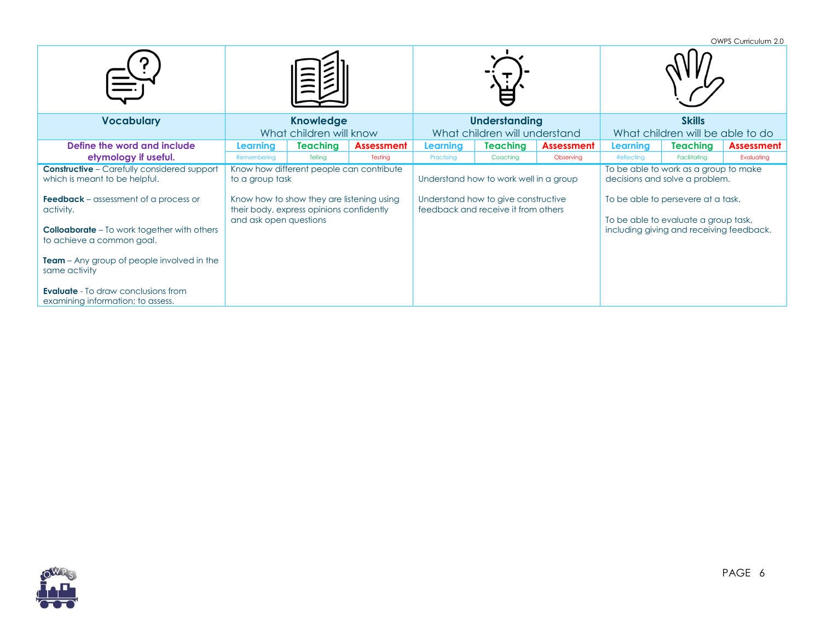|                                                                                                                 |                                             |                                                                                       |                   |                                        |                                                                            |                   |                                                                                                                        |                 | OWPS Curriculum 2.0 |  |
|-----------------------------------------------------------------------------------------------------------------|---------------------------------------------|---------------------------------------------------------------------------------------|-------------------|----------------------------------------|----------------------------------------------------------------------------|-------------------|------------------------------------------------------------------------------------------------------------------------|-----------------|---------------------|--|
|                                                                                                                 |                                             |                                                                                       |                   |                                        |                                                                            |                   |                                                                                                                        |                 |                     |  |
| <b>Vocabulary</b>                                                                                               | <b>Knowledge</b><br>What children will know |                                                                                       |                   |                                        | <b>Understanding</b>                                                       |                   | <b>Skills</b>                                                                                                          |                 |                     |  |
|                                                                                                                 |                                             |                                                                                       |                   |                                        | What children will understand                                              |                   | What children will be able to do                                                                                       |                 |                     |  |
| Define the word and include                                                                                     | Learning                                    | <b>Teaching</b>                                                                       | <b>Assessment</b> | Learning                               | Teaching                                                                   | <b>Assessment</b> | Learning                                                                                                               | <b>Teaching</b> | <b>Assessment</b>   |  |
| etymology if useful.                                                                                            | Remembering                                 | Tellina                                                                               | Testing           | Practising                             | Coaching                                                                   | Observing         | Reflecting                                                                                                             | Facilitatina    | Evaluating          |  |
| <b>Constructive</b> - Carefully considered support                                                              |                                             | Know how different people can contribute                                              |                   |                                        |                                                                            |                   | To be able to work as a group to make                                                                                  |                 |                     |  |
| which is meant to be helpful.                                                                                   | to a group task                             |                                                                                       |                   | Understand how to work well in a group |                                                                            |                   | decisions and solve a problem.                                                                                         |                 |                     |  |
| <b>Feedback</b> – assessment of a process or<br>activity.<br><b>Colloaborate</b> – To work together with others | and ask open questions                      | Know how to show they are listening using<br>their body, express opinions confidently |                   |                                        | Understand how to give constructive<br>feedback and receive it from others |                   | To be able to persevere at a task.<br>To be able to evaluate a group task,<br>including giving and receiving feedback. |                 |                     |  |
| to achieve a common goal.                                                                                       |                                             |                                                                                       |                   |                                        |                                                                            |                   |                                                                                                                        |                 |                     |  |
| <b>Team</b> – Any group of people involved in the<br>same activity                                              |                                             |                                                                                       |                   |                                        |                                                                            |                   |                                                                                                                        |                 |                     |  |
| <b>Evaluate</b> - To draw conclusions from<br>examining information; to assess.                                 |                                             |                                                                                       |                   |                                        |                                                                            |                   |                                                                                                                        |                 |                     |  |

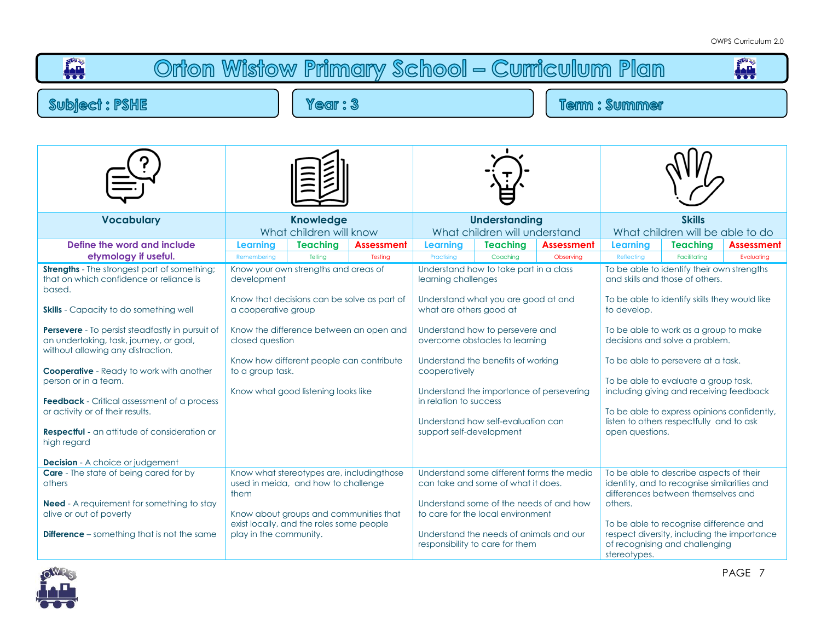



PAGE 7